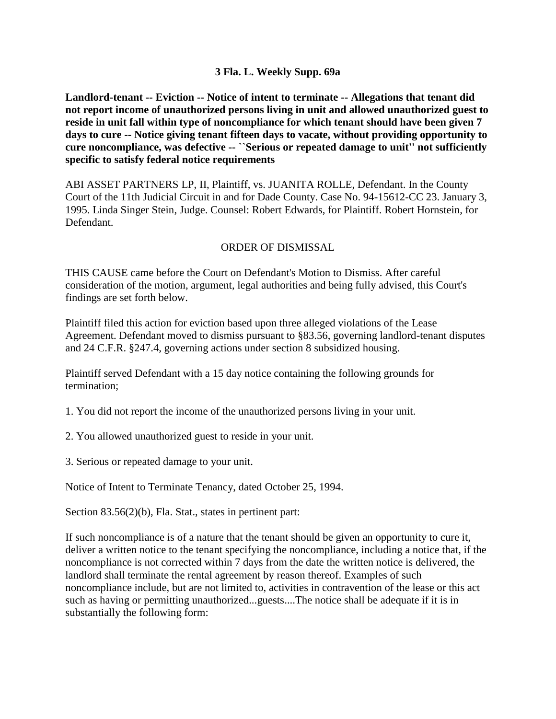## **3 Fla. L. Weekly Supp. 69a**

**Landlord-tenant -- Eviction -- Notice of intent to terminate -- Allegations that tenant did not report income of unauthorized persons living in unit and allowed unauthorized guest to reside in unit fall within type of noncompliance for which tenant should have been given 7 days to cure -- Notice giving tenant fifteen days to vacate, without providing opportunity to cure noncompliance, was defective -- ``Serious or repeated damage to unit'' not sufficiently specific to satisfy federal notice requirements**

ABI ASSET PARTNERS LP, II, Plaintiff, vs. JUANITA ROLLE, Defendant. In the County Court of the 11th Judicial Circuit in and for Dade County. Case No. 94-15612-CC 23. January 3, 1995. Linda Singer Stein, Judge. Counsel: Robert Edwards, for Plaintiff. Robert Hornstein, for Defendant.

## ORDER OF DISMISSAL

THIS CAUSE came before the Court on Defendant's Motion to Dismiss. After careful consideration of the motion, argument, legal authorities and being fully advised, this Court's findings are set forth below.

Plaintiff filed this action for eviction based upon three alleged violations of the Lease Agreement. Defendant moved to dismiss pursuant to §83.56, governing landlord-tenant disputes and 24 C.F.R. §247.4, governing actions under section 8 subsidized housing.

Plaintiff served Defendant with a 15 day notice containing the following grounds for termination;

1. You did not report the income of the unauthorized persons living in your unit.

2. You allowed unauthorized guest to reside in your unit.

3. Serious or repeated damage to your unit.

Notice of Intent to Terminate Tenancy, dated October 25, 1994.

Section 83.56(2)(b), Fla. Stat., states in pertinent part:

If such noncompliance is of a nature that the tenant should be given an opportunity to cure it, deliver a written notice to the tenant specifying the noncompliance, including a notice that, if the noncompliance is not corrected within 7 days from the date the written notice is delivered, the landlord shall terminate the rental agreement by reason thereof. Examples of such noncompliance include, but are not limited to, activities in contravention of the lease or this act such as having or permitting unauthorized...guests....The notice shall be adequate if it is in substantially the following form: